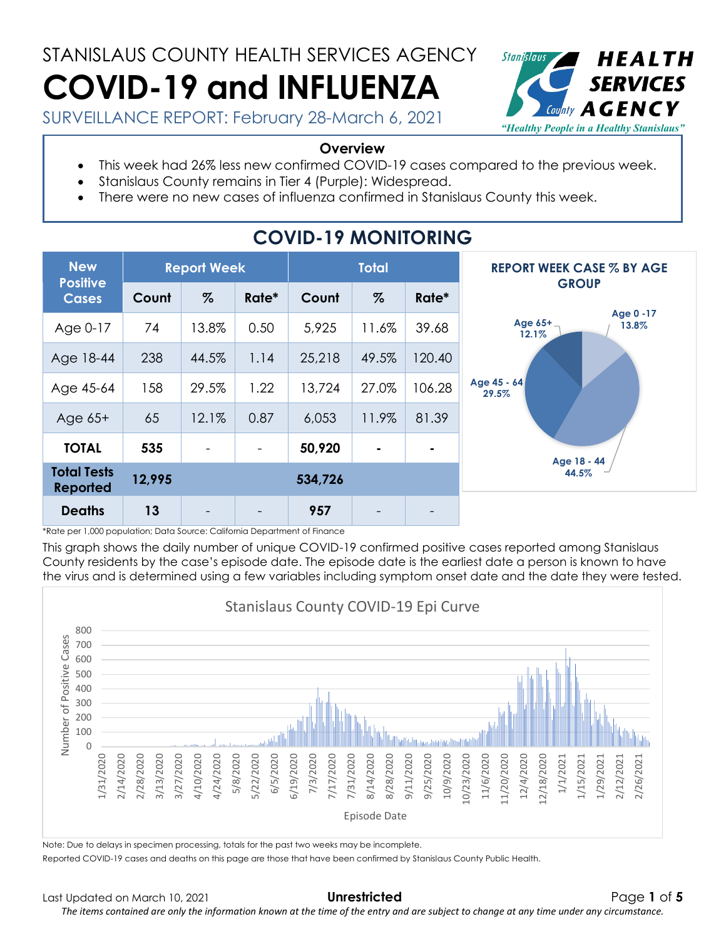# STANISLAUS COUNTY HEALTH SERVICES AGENCY **COVID-19 and INFLUENZA**



SURVEILLANCE REPORT: February 28-March 6, 2021

#### **Overview**

- This week had 26% less new confirmed COVID-19 cases compared to the previous week.
	- Stanislaus County remains in Tier 4 (Purple): Widespread.
- There were no new cases of influenza confirmed in Stanislaus County this week.

| <b>New</b><br><b>Positive</b>         | <b>Report Week</b> |       |                          | <b>Total</b> |       |        | <b>REPORT WEEK CASE % BY AGE</b>       |  |
|---------------------------------------|--------------------|-------|--------------------------|--------------|-------|--------|----------------------------------------|--|
| <b>Cases</b>                          | Count              | $\%$  | Rate*                    | Count        | $\%$  | Rate*  | <b>GROUP</b>                           |  |
| Age 0-17                              | 74                 | 13.8% | 0.50                     | 5,925        | 11.6% | 39.68  | Age 0 -17<br>Age 65+<br>13.8%<br>12.1% |  |
| Age 18-44                             | 238                | 44.5% | 1.14                     | 25,218       | 49.5% | 120.40 |                                        |  |
| Age 45-64                             | 158                | 29.5% | 1.22                     | 13,724       | 27.0% | 106.28 | Age 45 - 64<br>29.5%                   |  |
| Age $65+$                             | 65                 | 12.1% | 0.87                     | 6,053        | 11.9% | 81.39  |                                        |  |
| <b>TOTAL</b>                          | 535                |       | $\qquad \qquad -$        | 50,920       | ٠     |        | Age 18 - 44                            |  |
| <b>Total Tests</b><br><b>Reported</b> | 12,995             |       |                          | 534,726      |       |        | 44.5%                                  |  |
| <b>Deaths</b>                         | 13                 |       | $\overline{\phantom{0}}$ | 957          |       |        |                                        |  |

## **COVID-19 MONITORING**

\*Rate per 1,000 population; Data Source: California Department of Finance

This graph shows the daily number of unique COVID-19 confirmed positive cases reported among Stanislaus County residents by the case's episode date. The episode date is the earliest date a person is known to have the virus and is determined using a few variables including symptom onset date and the date they were tested.



Reported COVID-19 cases and deaths on this page are those that have been confirmed by Stanislaus County Public Health.

*The items contained are only the information known at the time of the entry and are subject to change at any time under any circumstance.*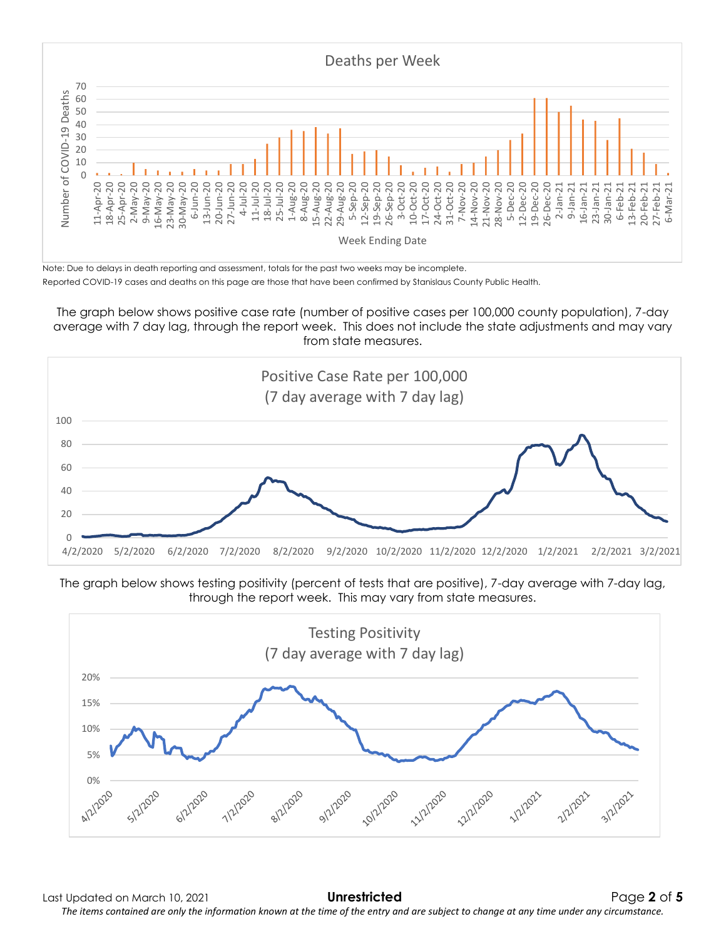

Reported COVID-19 cases and deaths on this page are those that have been confirmed by Stanislaus County Public Health.

The graph below shows positive case rate (number of positive cases per 100,000 county population), 7-day average with 7 day lag, through the report week. This does not include the state adjustments and may vary from state measures.





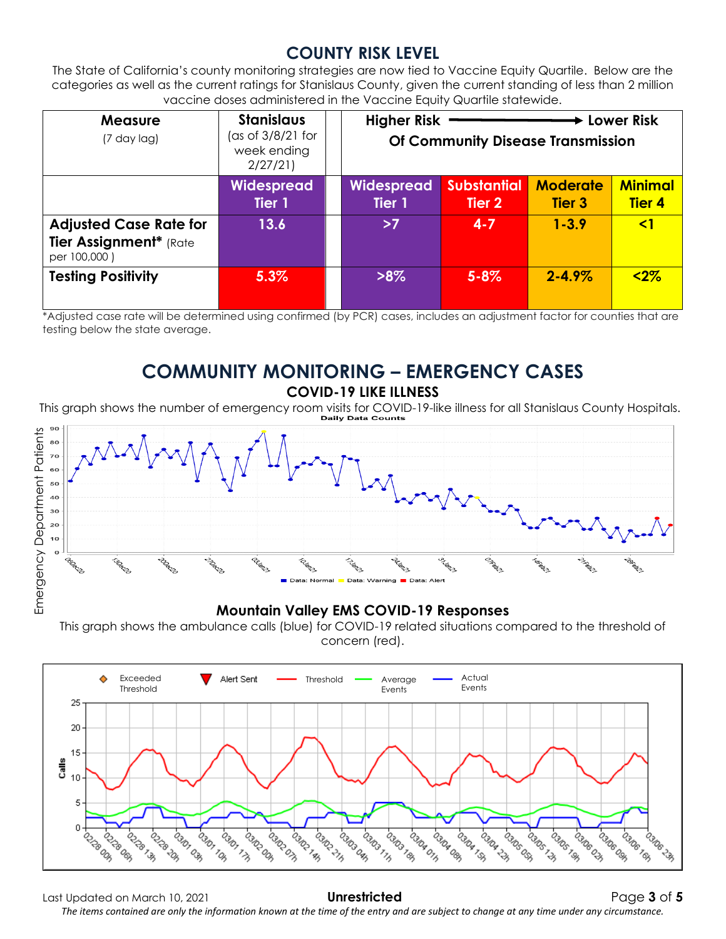### **COUNTY RISK LEVEL**

The State of California's county monitoring strategies are now tied to Vaccine Equity Quartile. Below are the categories as well as the current ratings for Stanislaus County, given the current standing of less than 2 million vaccine doses administered in the Vaccine Equity Quartile statewide.

| <b>Measure</b><br>(7 day lag)                                           | <b>Stanislaus</b><br>(as of $3/8/21$ for<br>week ending<br>2/27/21 | <b>Higher Risk</b><br>► Lower Risk<br><b>Of Community Disease Transmission</b> |                              |                                  |                                 |
|-------------------------------------------------------------------------|--------------------------------------------------------------------|--------------------------------------------------------------------------------|------------------------------|----------------------------------|---------------------------------|
|                                                                         | Widespread<br>Tier 1                                               | <b>Widespread</b><br>Tier 1                                                    | <b>Substantial</b><br>Tier 2 | <b>Moderate</b><br><b>Tier 3</b> | <b>Minimal</b><br><b>Tier 4</b> |
| <b>Adjusted Case Rate for</b><br>Tier Assignment* (Rate<br>per 100,000) | 13.6                                                               | >7                                                                             | $4 - 7$                      | $1 - 3.9$                        | $\leq$ 1                        |
| <b>Testing Positivity</b>                                               | 5.3%                                                               | $>8\%$                                                                         | $5 - 8\%$                    | $2 - 4.9\%$                      | $2%$                            |

\*Adjusted case rate will be determined using confirmed (by PCR) cases, includes an adjustment factor for counties that are testing below the state average.

## **COMMUNITY MONITORING – EMERGENCY CASES**

**COVID-19 LIKE ILLNESS**

This graph shows the number of emergency room visits for COVID-19-like illness for all Stanislaus County Hospitals.



#### **Mountain Valley EMS COVID-19 Responses**

This graph shows the ambulance calls (blue) for COVID-19 related situations compared to the threshold of concern (red).



Last Updated on March 10, 2021 **Unrestricted** Page **3** of **5** *The items contained are only the information known at the time of the entry and are subject to change at any time under any circumstance.*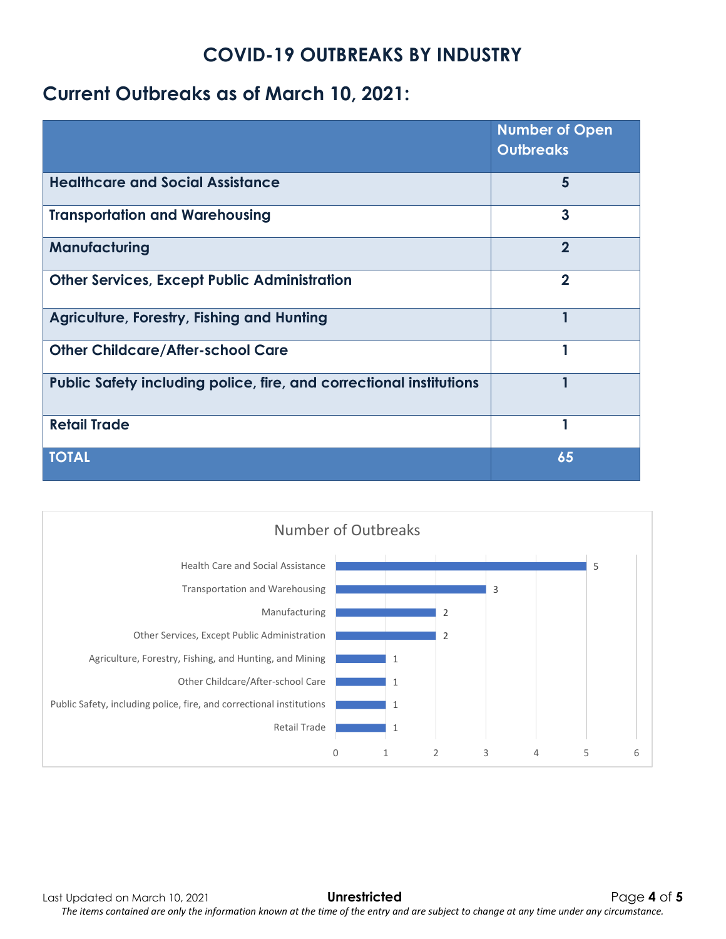## **COVID-19 OUTBREAKS BY INDUSTRY**

## **Current Outbreaks as of March 10, 2021:**

|                                                                     | <b>Number of Open</b><br><b>Outbreaks</b> |
|---------------------------------------------------------------------|-------------------------------------------|
| <b>Healthcare and Social Assistance</b>                             | 5                                         |
| <b>Transportation and Warehousing</b>                               | 3                                         |
| Manufacturing                                                       | $\overline{2}$                            |
| <b>Other Services, Except Public Administration</b>                 | $\mathbf 2$                               |
| <b>Agriculture, Forestry, Fishing and Hunting</b>                   |                                           |
| <b>Other Childcare/After-school Care</b>                            |                                           |
| Public Safety including police, fire, and correctional institutions |                                           |
| <b>Retail Trade</b>                                                 |                                           |
| <b>TOTAL</b>                                                        | 65                                        |